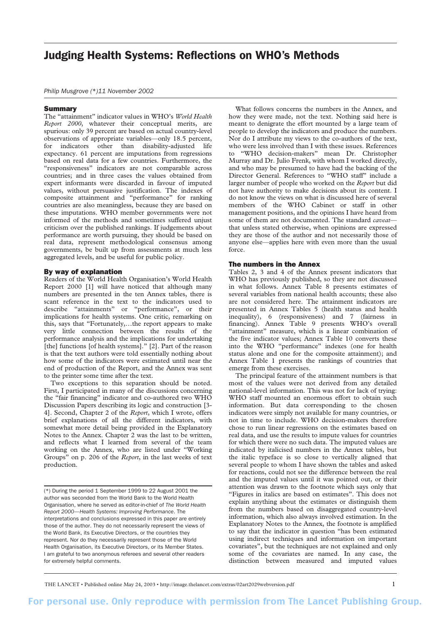# Judging Health Systems: Reflections on WHO's Methods

*Philip Musgrove (*\**)11 November 2002*

#### Summary

The "attainment" indicator values in WHO's *World Health Report 2000*, whatever their conceptual merits, are spurious: only 39 percent are based on actual country-level observations of appropriate variables—only 18.5 percent, for indicators other than disability-adjusted life expectancy. 61 percent are imputations from regressions based on real data for a few countries. Furthermore, the "responsiveness" indicators are not comparable across countries; and in three cases the values obtained from expert informants were discarded in favour of imputed values, without persuasive justification. The indexes of composite attainment and "performance" for ranking countries are also meaningless, because they are based on these imputations. WHO member governments were not informed of the methods and sometimes suffered unjust criticism over the published rankings. If judgements about performance are worth pursuing, they should be based on real data, represent methodological consensus among governments, be built up from assessments at much less aggregated levels, and be useful for public policy.

#### By way of explanation

Readers of the World Health Organisation's World Health Report 2000 [1] will have noticed that although many numbers are presented in the ten Annex tables, there is scant reference in the text to the indicators used to describe "attainments" or "performance", or their implications for health systems. One critic, remarking on this, says that "Fortunately,…the report appears to make very little connection between the results of the performance analysis and the implications for undertaking [the] functions [of health systems]." [2]. Part of the reason is that the text authors were told essentially nothing about how some of the indicators were estimated until near the end of production of the Report, and the Annex was sent to the printer some time after the text.

Two exceptions to this separation should be noted. First, I participated in many of the discussions concerning the "fair financing" indicator and co-authored two WHO Discussion Papers describing its logic and construction [3- 4]. Second, Chapter 2 of the *Report*, which I wrote, offers brief explanations of all the different indicators, with somewhat more detail being provided in the Explanatory Notes to the Annex. Chapter 2 was the last to be written, and reflects what I learned from several of the team working on the Annex, who are listed under "Working Groups" on p. 206 of the *Report*, in the last weeks of text production.

(\*) During the period 1 September 1999 to 22 August 2001 the author was seconded from the World Bank to the World Health Organisation, where he served as editor-in-chief of *The World Health Report 2000—Health Systems: Improving Performance*. The interpretations and conclusions expressed in this paper are entirely those of the author. They do not necessarily represent the views of the World Bank, its Executive Directors, or the countries they represent. Nor do they necessarily represent those of the World Health Organisation, its Executive Directors, or its Member States. I am grateful to two anonymous referees and several other readers for extremely helpful comments.

What follows concerns the numbers in the Annex, and how they were made, not the text. Nothing said here is meant to denigrate the effort mounted by a large team of people to develop the indicators and produce the numbers. Nor do I attribute my views to the co-authors of the text, who were less involved than I with these issues. References to "WHO decision-makers" mean Dr. Christopher Murray and Dr. Julio Frenk, with whom I worked directly, and who may be presumed to have had the backing of the Director General. References to "WHO staff" include a larger number of people who worked on the *Report* but did not have authority to make decisions about its content. I do not know the views on what is discussed here of several members of the WHO Cabinet or staff in other management positions, and the opinions I have heard from some of them are not documented. The standard *caveat* that unless stated otherwise, when opinions are expressed they are those of the author and not necessarily those of anyone else—applies here with even more than the usual force.

#### The numbers in the Annex

Tables 2, 3 and 4 of the Annex present indicators that WHO has previously published, so they are not discussed in what follows. Annex Table 8 presents estimates of several variables from national health accounts; these also are not considered here. The attainment indicators are presented in Annex Tables 5 (health status and health inequality), 6 (responsiveness) and 7 (fairness in financing). Annex Table 9 presents WHO's overall "attainment" measure, which is a linear combination of the five indicator values; Annex Table 10 converts these into the WHO "performance" indexes (one for health status alone and one for the composite attainment); and Annex Table 1 presents the rankings of countries that emerge from these exercises.

The principal feature of the attainment numbers is that most of the values were not derived from any detailed national-level information. This was not for lack of trying: WHO staff mounted an enormous effort to obtain such information. But data corresponding to the chosen indicators were simply not available for many countries, or not in time to include. WHO decision-makers therefore chose to run linear regressions on the estimates based on real data, and use the results to impute values for countries for which there were no such data. The imputed values are indicated by italicised numbers in the Annex tables, but the italic typeface is so close to vertically aligned that several people to whom I have shown the tables and asked for reactions, could not see the difference between the real and the imputed values until it was pointed out, or their attention was drawn to the footnote which says only that "Figures in italics are based on estimates". This does not explain anything about the estimates or distinguish them from the numbers based on disaggregated country-level information, which also always involved estimation. In the Explanatory Notes to the Annex, the footnote is amplified to say that the indicator in question "has been estimated using indirect techniques and information on important covariates", but the techniques are not explained and only some of the covariates are named. In any case, the distinction between measured and imputed values

THE LANCET • Published online May 24, 2003 • http://image.thelancet.com/extras/02art2029webversion.pdf 1

For personal use. Only reproduce with permission from The Lancet Publishing Group.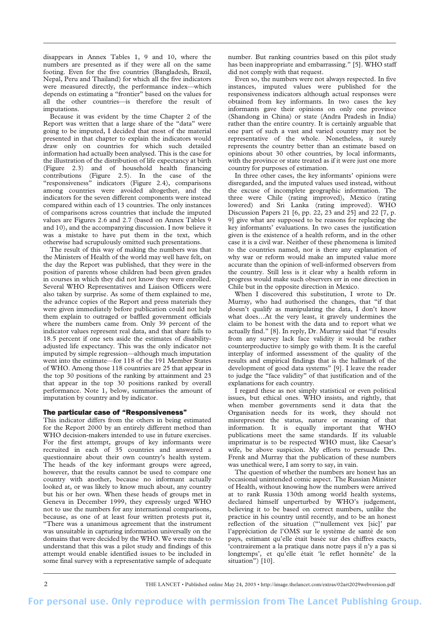disappears in Annex Tables 1, 9 and 10, where the numbers are presented as if they were all on the same footing. Even for the five countries (Bangladesh, Brazil, Nepal, Peru and Thailand) for which all the five indicators were measured directly, the performance index—which depends on estimating a "frontier" based on the values for all the other countries—is therefore the result of imputations.

Because it was evident by the time Chapter 2 of the Report was written that a large share of the "data" were going to be imputed, I decided that most of the material presented in that chapter to explain the indicators would draw only on countries for which such detailed information had actually been analysed. This is the case for the illustration of the distribution of life expectancy at birth (Figure 2.3) and of household health financing contributions (Figure 2.5). In the case of the "responsiveness" indicators (Figure 2.4), comparisons among countries were avoided altogether, and the indicators for the seven different components were instead compared within each of 13 countries. The only instances of comparisons across countries that include the imputed values are Figures 2.6 and 2.7 (based on Annex Tables 9 and 10), and the accompanying discussion. I now believe it was a mistake to have put them in the text, which otherwise had scrupulously omitted such presentations.

The result of this way of making the numbers was that the Ministers of Health of the world may well have felt, on the day the Report was published, that they were in the position of parents whose children had been given grades in courses in which they did not know they were enrolled. Several WHO Representatives and Liaison Officers were also taken by surprise. As some of them explained to me, the advance copies of the Report and press materials they were given immediately before publication could not help them explain to outraged or baffled government officials where the numbers came from. Only 39 percent of the indicator values represent real data, and that share falls to 18.5 percent if one sets aside the estimates of disabilityadjusted life expectancy. This was the only indicator not imputed by simple regression—although much imputation went into the estimate—for 118 of the 191 Member States of WHO. Among those 118 countries are 25 that appear in the top 30 positions of the ranking by attainment and 23 that appear in the top 30 positions ranked by overall performance. Note 1, below, summarises the amount of imputation by country and by indicator.

#### The particular case of "Responsiveness"

This indicator differs from the others in being estimated for the Report 2000 by an entirely different method than WHO decision-makers intended to use in future exercises. For the first attempt, groups of key informants were recruited in each of 35 countries and answered a questionnaire about their own country's health system. The heads of the key informant groups were agreed, however, that the results cannot be used to compare one country with another, because no informant actually looked at, or was likely to know much about, any country but his or her own. When these heads of groups met in Geneva in December 1999, they expressly urged WHO not to use the numbers for any international comparisons, because, as one of at least four written protests put it, "There was a unanimous agreement that the instrument was unsuitable in capturing information universally on the domains that were decided by the WHO. We were made to understand that this was a pilot study and findings of this attempt would enable identified issues to be included in some final survey with a representative sample of adequate

number. But ranking countries based on this pilot study has been inappropriate and embarrassing." [5]. WHO staff did not comply with that request.

Even so, the numbers were not always respected. In five instances, imputed values were published for the responsiveness indicators although actual responses were obtained from key informants. In two cases the key informants gave their opinions on only one province (Shandong in China) or state (Andra Pradesh in India) rather than the entire country. It is certainly arguable that one part of such a vast and varied country may not be representative of the whole. Nonetheless, it surely represents the country better than an estimate based on opinions about 30 other countries, by local informants, with the province or state treated as if it were just one more country for purposes of estimation.

In three other cases, the key informants' opinions were disregarded, and the imputed values used instead, without the excuse of incomplete geographic information. The three were Chile (rating improved), Mexico (rating lowered) and Sri Lanka (rating improved). WHO Discussion Papers 21 [6, pp. 22, 23 and 25] and 22 [7, p. 9] give what are supposed to be reasons for replacing the key informants' evaluations. In two cases the justification given is the existence of a health reform, and in the other case it is a civil war. Neither of these phenomena is limited to the countries named, nor is there any explanation of why war or reform would make an imputed value more accurate than the opinion of well-informed observers from the country. Still less is it clear why a health reform in progress would make such observers err in one direction in Chile but in the opposite direction in Mexico.

When I discovered this substitution, I wrote to Dr. Murray, who had authorised the changes, that "if that doesn't qualify as manipulating the data, I don't know what does…At the very least, it gravely undermines the claim to be honest with the data and to report what we actually find." [8]. In reply, Dr. Murray said that "if results from any survey lack face validity it would be rather counterproductive to simply go with them. It is the careful interplay of informed assessment of the quality of the results and empirical findings that is the hallmark of the development of good data systems" [9]. I leave the reader to judge the "face validity" of that justification and of the explanations for each country.

I regard these as not simply statistical or even political issues, but ethical ones. WHO insists, and rightly, that when member governments send it data that the Organisation needs for its work, they should not misrepresent the status, nature or meaning of that information. It is equally important that WHO publications meet the same standards. If its valuable imprimatur is to be respected WHO must, like Caesar's wife, be above suspicion. My efforts to persuade Drs. Frenk and Murray that the publication of these numbers was unethical were, I am sorry to say, in vain.

The question of whether the numbers are honest has an occasional unintended comic aspect. The Russian Minister of Health, without knowing how the numbers were arrived at to rank Russia 130th among world health systems, declared himself unperturbed by WHO's judgement, believing it to be based on correct numbers, unlike the practice in his country until recently, and to be an honest reflection of the situation ("'nullement vex [sic]' par l'appréciation de l'OMS sur le système de santé de son pays, estimant qu'elle était basée sur des chiffres exacts, 'contrairement a la pratique dans notre pays il n'y a pas si longtemps', et qu'elle était 'le reflet honnête' de la situation") [10].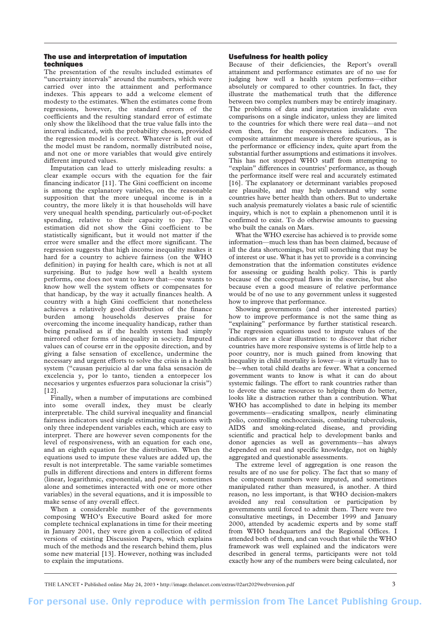## The use and interpretation of imputation techniques

The presentation of the results included estimates of "uncertainty intervals" around the numbers, which were carried over into the attainment and performance indexes. This appears to add a welcome element of modesty to the estimates. When the estimates come from regressions, however, the standard errors of the coefficients and the resulting standard error of estimate only show the likelihood that the true value falls into the interval indicated, with the probability chosen, provided the regression model is correct. Whatever is left out of the model must be random, normally distributed noise, and not one or more variables that would give entirely different imputed values.

Imputation can lead to utterly misleading results: a clear example occurs with the equation for the fair financing indicator [11]. The Gini coefficient on income is among the explanatory variables, on the reasonable supposition that the more unequal income is in a country, the more likely it is that households will have very unequal health spending, particularly out-of-pocket spending, relative to their capacity to pay. The estimation did not show the Gini coefficient to be statistically significant, but it would not matter if the error were smaller and the effect more significant. The regression suggests that high income inequality makes it hard for a country to achieve fairness (on the WHO definition) in paying for health care, which is not at all surprising. But to judge how well a health system performs, one does not want to know that—one wants to know how well the system offsets or compensates for that handicap, by the way it actually finances health. A country with a high Gini coefficient that nonetheless achieves a relatively good distribution of the finance burden among households deserves praise for overcoming the income inequality handicap, rather than being penalised as if the health system had simply mirrored other forms of inequality in society. Imputed values can of course err in the opposite direction, and by giving a false sensation of excellence, undermine the necessary and urgent efforts to solve the crisis in a health system ("causan perjuicio al dar una falsa sensación de excelencia y, por lo tanto, tienden a entorpecer los necesarios y urgentes esfuerzos para solucionar la crisis") [12].

Finally, when a number of imputations are combined into some overall index, they must be clearly interpretable. The child survival inequality and financial fairness indicators used single estimating equations with only three independent variables each, which are easy to interpret. There are however seven components for the level of responsiveness, with an equation for each one, and an eighth equation for the distribution. When the equations used to impute these values are added up, the result is not interpretable. The same variable sometimes pulls in different directions and enters in different forms (linear, logarithmic, exponential, and power, sometimes alone and sometimes interacted with one or more other variables) in the several equations, and it is impossible to make sense of any overall effect.

When a considerable number of the governments composing WHO's Executive Board asked for more complete technical explanations in time for their meeting in January 2001, they were given a collection of edited versions of existing Discussion Papers, which explains much of the methods and the research behind them, plus some new material [13]. However, nothing was included to explain the imputations.

### Usefulness for health policy

Because of their deficiencies, the Report's overall attainment and performance estimates are of no use for judging how well a health system performs—either absolutely or compared to other countries. In fact, they illustrate the mathematical truth that the difference between two complex numbers may be entirely imaginary. The problems of data and imputation invalidate even comparisons on a single indicator, unless they are limited to the countries for which there were real data—and not even then, for the responsiveness indicators. The composite attainment measure is therefore spurious, as is the performance or efficiency index, quite apart from the substantial further assumptions and estimations it involves. This has not stopped WHO staff from attempting to "explain" differences in countries' performance, as though the performance itself were real and accurately estimated [16]. The explanatory or determinant variables proposed are plausible, and may help understand why some countries have better health than others. But to undertake such analysis prematurely violates a basic rule of scientific inquiry, which is not to explain a phenomenon until it is confirmed to exist. To do otherwise amounts to guessing who built the canals on Mars.

What the WHO exercise has achieved is to provide some information—much less than has been claimed, because of all the data shortcomings, but still something that may be of interest or use. What it has yet to provide is a convincing demonstration that the information constitutes evidence for assessing or guiding health policy. This is partly because of the conceptual flaws in the exercise, but also because even a good measure of relative performance would be of no use to any government unless it suggested how to improve that performance.

Showing governments (and other interested parties) how to improve performance is not the same thing as "explaining" performance by further statistical research. The regression equations used to impute values of the indicators are a clear illustration: to discover that richer countries have more responsive systems is of little help to a poor country, nor is much gained from knowing that inequality in child mortality is lower—as it virtually has to be—when total child deaths are fewer. What a concerned government wants to know is what it can do about systemic failings. The effort to rank countries rather than to devote the same resources to helping them do better, looks like a distraction rather than a contribution. What WHO has accomplished to date in helping its member governments—eradicating smallpox, nearly eliminating polio, controlling onchocerciasis, combating tuberculosis, AIDS and smoking-related disease, and providing scientific and practical help to development banks and donor agencies as well as governments—has always depended on real and specific knowledge, not on highly aggregated and questionable assessments.

The extreme level of aggregation is one reason the results are of no use for policy. The fact that so many of the component numbers were imputed, and sometimes manipulated rather than measured, is another. A third reason, no less important, is that WHO decision-makers avoided any real consultation or participation by governments until forced to admit them. There were two consultative meetings, in December 1999 and January 2000, attended by academic experts and by some staff from WHO headquarters and the Regional Offices. I attended both of them, and can vouch that while the WHO framework was well explained and the indicators were described in general terms, participants were not told exactly how any of the numbers were being calculated, nor

THE LANCET • Published online May 24, 2003 • http://image.thelancet.com/extras/02art2029webversion.pdf 3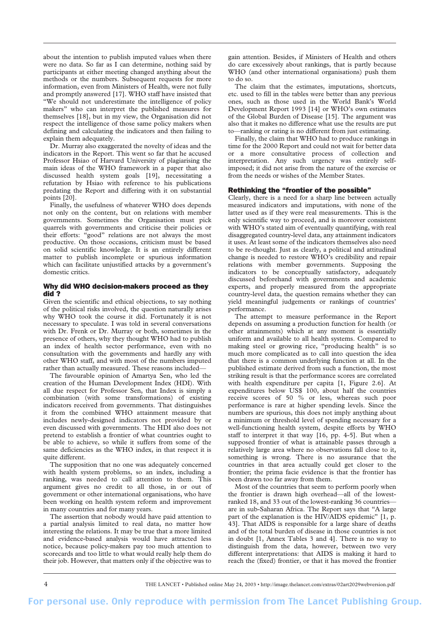about the intention to publish imputed values when there were no data. So far as I can determine, nothing said by participants at either meeting changed anything about the methods or the numbers. Subsequent requests for more information, even from Ministers of Health, were not fully and promptly answered [17]. WHO staff have insisted that "We should not underestimate the intelligence of policy makers" who can interpret the published measures for themselves [18], but in my view, the Organisation did not respect the intelligence of those same policy makers when defining and calculating the indicators and then failing to explain them adequately.

Dr. Murray also exaggerated the novelty of ideas and the indicators in the Report. This went so far that he accused Professor Hsiao of Harvard University of plagiarising the main ideas of the WHO framework in a paper that also discussed health system goals [19], necessitating a refutation by Hsiao with reference to his publications predating the Report and differing with it on substantial points [20].

Finally, the usefulness of whatever WHO does depends not only on the content, but on relations with member governments. Sometimes the Organisation must pick quarrels with governments and criticise their policies or their efforts: "good" relations are not always the most productive. On those occasions, criticism must be based on solid scientific knowledge. It is an entirely different matter to publish incomplete or spurious information which can facilitate unjustified attacks by a government's domestic critics.

#### Why did WHO decision-makers proceed as they did ?

Given the scientific and ethical objections, to say nothing of the political risks involved, the question naturally arises why WHO took the course it did. Fortunately it is not necessary to speculate. I was told in several conversations with Dr. Frenk or Dr. Murray or both, sometimes in the presence of others, why they thought WHO had to publish an index of health sector performance, even with no consultation with the governments and hardly any with other WHO staff, and with most of the numbers imputed rather than actually measured. These reasons included—

The favourable opinion of Amartya Sen, who led the creation of the Human Development Index (HDI). With all due respect for Professor Sen, that Index is simply a combination (with some transformations) of existing indicators received from governments. That distinguishes it from the combined WHO attainment measure that includes newly-designed indicators not provided by or even discussed with governments. The HDI also does not pretend to establish a frontier of what countries ought to be able to achieve, so while it suffers from some of the same deficiencies as the WHO index, in that respect it is quite different.

The supposition that no one was adequately concerned with health system problems, so an index, including a ranking, was needed to call attention to them. This argument gives no credit to all those, in or out of government or other international organisations, who have been working on health system reform and improvement in many countries and for many years.

The assertion that nobody would have paid attention to a partial analysis limited to real data, no matter how interesting the relations. It may be true that a more limited and evidence-based analysis would have attracted less notice, because policy-makers pay too much attention to scorecards and too little to what would really help them do their job. However, that matters only if the objective was to

gain attention. Besides, if Ministers of Health and others do care excessively about rankings, that is partly because WHO (and other international organisations) push them to do so.

The claim that the estimates, imputations, shortcuts, etc. used to fill in the tables were better than any previous ones, such as those used in the World Bank's World Development Report 1993 [14] or WHO's own estimates of the Global Burden of Disease [15]. The argument was also that it makes no difference what use the results are put to—ranking or rating is no different from just estimating.

Finally, the claim that WHO had to produce rankings in time for the 2000 Report and could not wait for better data or a more consultative process of collection and interpretation. Any such urgency was entirely selfimposed; it did not arise from the nature of the exercise or from the needs or wishes of the Member States.

## Rethinking the "frontier of the possible"

Clearly, there is a need for a sharp line between actually measured indicators and imputations, with none of the latter used as if they were real measurements. This is the only scientific way to proceed, and is moreover consistent with WHO's stated aim of eventually quantifying, with real disaggregated country-level data, any attainment indicators it uses. At least some of the indicators themselves also need to be re-thought. Just as clearly, a political and attitudinal change is needed to restore WHO's credibility and repair relations with member governments. Supposing the indicators to be conceptually satisfactory, adequately discussed beforehand with governments and academic experts, and properly measured from the appropriate country-level data, the question remains whether they can yield meaningful judgements or rankings of countries' performance.

The attempt to measure performance in the Report depends on assuming a production function for health (or other attainments) which at any moment is essentially uniform and available to all health systems. Compared to making steel or growing rice, "producing health" is so much more complicated as to call into question the idea that there is a common underlying function at all. In the published estimate derived from such a function, the most striking result is that the performance scores are correlated with health expenditure per capita [1, Figure 2.6]. At expenditures below US\$ 100, about half the countries receive scores of 50 % or less, whereas such poor performance is rare at higher spending levels. Since the numbers are spurious, this does not imply anything about a minimum or threshold level of spending necessary for a well-functioning health system, despite efforts by WHO staff to interpret it that way [16, pp. 4-5]. But when a supposed frontier of what is attainable passes through a relatively large area where no observations fall close to it, something is wrong. There is no assurance that the countries in that area actually could get closer to the frontier; the prima facie evidence is that the frontier has been drawn too far away from them.

Most of the countries that seem to perform poorly when the frontier is drawn high overhead—all of the lowestranked 18, and 33 out of the lowest-ranking 36 countries are in sub-Saharan Africa. The Report says that "A large part of the explanation is the HIV/AIDS epidemic" [1, p. 43]. That AIDS is responsible for a large share of deaths and of the total burden of disease in those countries is not in doubt [1, Annex Tables 3 and 4]. There is no way to distinguish from the data, however, between two very different interpretations: that AIDS is making it hard to reach the (fixed) frontier, or that it has moved the frontier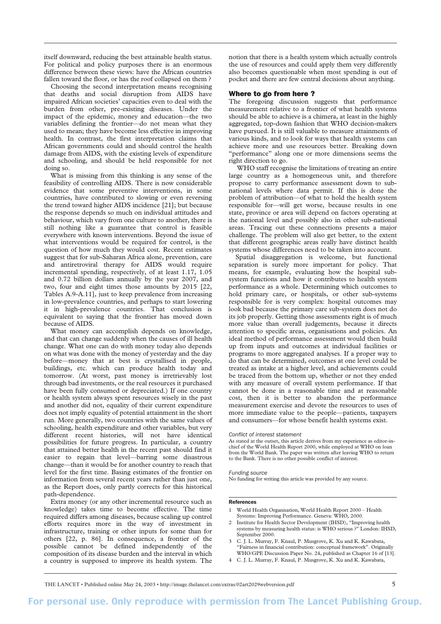itself downward, reducing the best attainable health status. For political and policy purposes there is an enormous difference between these views: have the African countries fallen toward the floor, or has the roof collapsed on them ?

Choosing the second interpretation means recognising that deaths and social disruption from AIDS have impaired African societies' capacities even to deal with the burden from other, pre-existing diseases. Under the impact of the epidemic, money and education—the two variables defining the frontier—do not mean what they used to mean; they have become less effective in improving health. In contrast, the first interpretation claims that African governments could and should control the health damage from AIDS, with the existing levels of expenditure and schooling, and should be held responsible for not doing so.

What is missing from this thinking is any sense of the feasibility of controlling AIDS. There is now considerable evidence that some preventive interventions, in some countries, have contributed to slowing or even reversing the trend toward higher AIDS incidence [21]; but because the response depends so much on individual attitudes and behaviour, which vary from one culture to another, there is still nothing like a guarantee that control is feasible everywhere with known interventions. Beyond the issue of what interventions would be required for control, is the question of how much they would cost. Recent estimates suggest that for sub-Saharan Africa alone, prevention, care and antiretroviral therapy for AIDS would require incremental spending, respectively, of at least 1.17, 1.05 and 0.72 billion dollars annually by the year 2007, and two, four and eight times those amounts by 2015 [22, Tables A.9-A.11], just to keep prevalence from increasing in low-prevalence countries, and perhaps to start lowering it in high-prevalence countries. That conclusion is equivalent to saying that the frontier has moved down because of AIDS.

What money can accomplish depends on knowledge, and that can change suddenly when the causes of ill health change. What one can do with money today also depends on what was done with the money of yesterday and the day before—money that at best is crystallised in people, buildings, etc. which can produce health today and tomorrow. (At worst, past money is irretrievably lost through bad investments, or the real resources it purchased have been fully consumed or depreciated.) If one country or health system always spent resources wisely in the past and another did not, equality of their current expenditure does not imply equality of potential attainment in the short run. More generally, two countries with the same values of schooling, health expenditure and other variables, but very different recent histories, will not have identical possibilities for future progress. In particular, a country that attained better health in the recent past should find it easier to regain that level—barring some disastrous change—than it would be for another country to reach that level for the first time. Basing estimates of the frontier on information from several recent years rather than just one, as the Report does, only partly corrects for this historical path-dependence.

Extra money (or any other incremental resource such as knowledge) takes time to become effective. The time required differs among diseases, because scaling up control efforts requires more in the way of investment in infrastructure, training or other inputs for some than for others [22, p. 86]. In consequence, a frontier of the possible cannot be defined independently of the composition of its disease burden and the interval in which a country is supposed to improve its health system. The

notion that there is a health system which actually controls the use of resources and could apply them very differently also becomes questionable when most spending is out of pocket and there are few central decisions about anything.

# Where to go from here ?

The foregoing discussion suggests that performance measurement relative to a frontier of what health systems should be able to achieve is a chimera, at least in the highly aggregated, top-down fashion that WHO decision-makers have pursued. It is still valuable to measure attainments of various kinds, and to look for ways that health systems can achieve more and use resources better. Breaking down "performance" along one or more dimensions seems the right direction to go.

WHO staff recognise the limitations of treating an entire large country as a homogeneous unit, and therefore propose to carry performance assessment down to subnational levels where data permit. If this is done the problem of attribution—of what to hold the health system responsible for—will get worse, because results in one state, province or area will depend on factors operating at the national level and possibly also in other sub-national areas. Tracing out these connections presents a major challenge. The problem will also get better, to the extent that different geographic areas really have distinct health systems whose differences need to be taken into account.

Spatial disaggregation is welcome, but functional separation is surely more important for policy. That means, for example, evaluating how the hospital subsystem functions and how it contributes to health system performance as a whole. Determining which outcomes to hold primary care, or hospitals, or other sub-systems responsible for is very complex: hospital outcomes may look bad because the primary care sub-system does not do its job properly. Getting those assessments right is of much more value than overall judgements, because it directs attention to specific areas, organisations and policies. An ideal method of performance assessment would then build up from inputs and outcomes at individual facilities or programs to more aggregated analyses. If a proper way to do that can be determined, outcomes at one level could be treated as intake at a higher level, and achievements could be traced from the bottom up, whether or not they ended with any measure of overall system performance. If that cannot be done in a reasonable time and at reasonable cost, then it is better to abandon the performance measurement exercise and devote the resources to uses of more immediate value to the people—patients, taxpayers and consumers—for whose benefit health systems exist.

#### *Conflict of interest statement*

As stated at the outset, this article derives from my experience as editor-inchief of the World Health Report 2000, while employed at WHO on loan from the World Bank. The paper was written after leaving WHO to return to the Bank. There is no other possible conflict of interest.

#### *Funding source*

No funding for writing this article was provided by any source.

# References

- 1 World Health Organisation, World Health Report 2000 Health Systems: Improving Performance. Geneva: WHO, 2000.
- 2 Institute for Health Sector Development (IHSD), "Improving health systems by measuring health status: is WHO serious ?" London: IHSD, September 2000.
- 3 C. J. L. Murray, F. Knaul, P. Musgrove, K. Xu and K. Kawabata, "Fairness in financial contribution: conceptual framework". Originally WHO/GPE Discussion Paper No. 24, published as Chapter 16 of [13].
- 4 C. J. L. Murray, F. Knaul, P. Musgrove, K. Xu and K. Kawabata,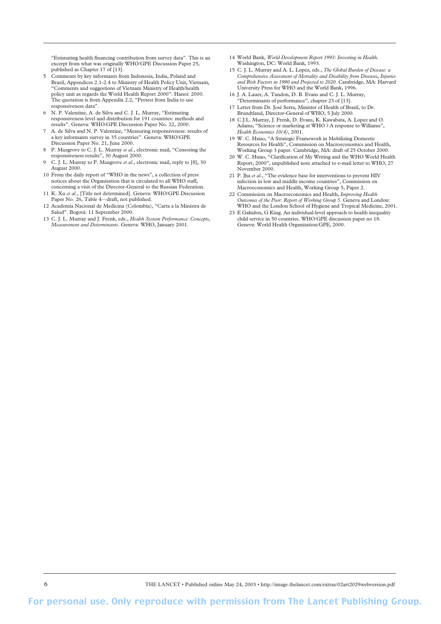"Estimating health financing contribution from survey data". This is an excerpt from what was originally WHO/GPE Discussion Paper 25, published as Chapter 17 of [13].

- 5 Comments by key informants from Indonesia, India, Poland and Brazil, Appendices 2.1-2.4 to Ministry of Health Policy Unit, Vietnam, "Comments and suggestions of Vietnam Ministry of Health/health policy unit as regards the World Health Report 2000". Hanoi: 2000. The quotation is from Appendix 2.2, "Protest from India to use responsiveness data".
- 6 N. P. Valentine, A. de Silva and C. J. L. Murray, "Estimating responsiveness level and distribution for 191 countries: methods and results". Geneva: WHO/GPE Discussion Paper No. 22, 2000.
- 7 A. de Silva and N. P. Valentine, "Measuring responsiveness: results of a key informants survey in 35 countries". Geneva: WHO/GPE Discussion Paper No. 21, June 2000.
- 8 P. Musgrove to C. J. L. Murray *et al.*, electronic mail, "Censoring the responsiveness results", 30 August 2000.
- 9 C. J. L. Murray to P. Musgrove *et al.*, electronic mail, reply to [8], 30 August 2000.
- 10 From the daily report of "WHO in the news", a collection of press notices about the Organisation that is circulated to all WHO staff, concerning a visit of the Director-General to the Russian Federation.
- 11 K. Xu *et al.*, [Title not determined]. Geneva: WHO/GPE Discussion Paper No. 26, Table 4-draft, not published. 12 Academía Nacional de Medicina (Colombia), "Carta a la Ministra de
- Salud". Bogotá: 11 September 2000.
- 13 C. J. L. Murray and J. Frenk, eds., *Health System Performance: Concepts, Measurement and Determinants*. Geneva: WHO, January 2001.
- 14 World Bank, *World Development Report 1993: Investing in Health.* Washington, DC: World Bank, 1993.
- 15 C. J. L. Murray and A. L. Lopez, eds., *The Global Burden of Disease: a Comprehensive Assessment of Mortality and Disability from Diseases, Injuries and Risk Factors in 1990 and Projected to 2020.* Cambridge, MA: Harvard University Press for WHO and the World Bank, 1996.
- 16 J. A. Lauer, A. Tandon, D. B. Evans and C. J. L. Murray, 'Determinants of performance", chapter 23 of [13].
- 17 Letter from Dr. José Serra, Minister of Health of Brazil, to Dr. Brundtland, Director-General of WHO, 5 July 2000.
- 18 C.J.L. Murray, J. Frenk, D. Evans, K. Kawabata, A. Lopez and O. Adams, "Science or marketing at WHO ? A response to Williams", *Health Economics 10(4)*, 2001.
- 19 W. C. Hsiao, "A Strategic Framework in Mobilizing Domestic Resources for Health", Commission on Macroeconomics and Health, Working Group 3 paper. Cambridge, MA: draft of 25 October 2000.
- 20 W. C. Hsiao, "Clarification of My Writing and the WHO World Health Report, 2000", unpublished note attached to e-mail letter to WHO, 27 November 2000.
- 21 P. Jha *et al.*, "The evidence base for interventions to prevent HIV infection in low and middle income countries", Commission on Macroeconomics and Health, Working Group 5, Paper 2.
- 22 Commission on Macroeconomics and Health, *Improving Health Outcomes of the Poor: Report of Working Group 5.* Geneva and London: WHO and the London School of Hygiene and Tropical Medicine, 2001.
- 23 E Gakidon, G King. An individual-level approach to health inequality child service in 50 countries. WHO/GPE discussion paper no 18. Geneva: World Health Organization/GPE, 2000.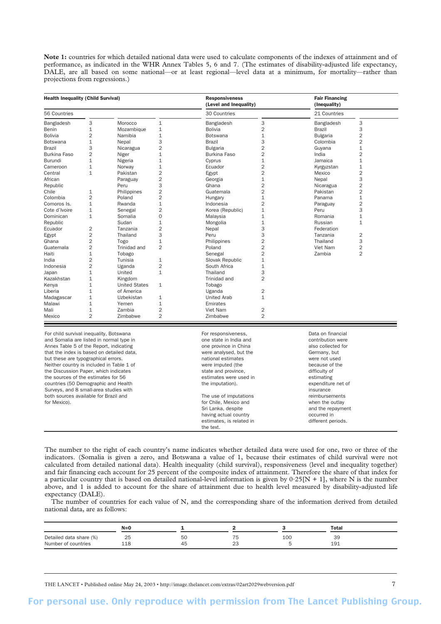**Note 1:** countries for which detailed national data were used to calculate components of the indexes of attainment and of performance, as indicated in the WHR Annex Tables 5, 6 and 7. (The estimates of disability-adjusted life expectancy, DALE, are all based on some national—or at least regional—level data at a minimum, for mortality—rather than projections from regressions.)

| <b>Health Inequality (Child Survival)</b> |                |                      |                | <b>Responsiveness</b><br>(Level and Inequality) |                | <b>Fair Financing</b><br>(Inequality) |                |  |
|-------------------------------------------|----------------|----------------------|----------------|-------------------------------------------------|----------------|---------------------------------------|----------------|--|
| 56 Countries                              |                |                      |                | 30 Countries                                    |                | 21 Countries                          |                |  |
| Bangladesh                                | 3              | Morocco              | $\mathbf{1}$   | Bangladesh                                      | 3              | Bangladesh                            | 3              |  |
| Benin                                     | 1              | Mozambique           | $\mathbf{1}$   | <b>Bolivia</b>                                  | 2              | <b>Brazil</b>                         | 3              |  |
| <b>Bolivia</b>                            | $\overline{2}$ | Namibia              | $\mathbf{1}$   | <b>Botswana</b>                                 | $\mathbf{1}$   | <b>Bulgaria</b>                       | $\overline{2}$ |  |
| Botswana                                  | $\mathbf{1}$   | Nepal                | 3              | <b>Brazil</b>                                   | 3              | Colombia                              | 2              |  |
| <b>Brazil</b>                             | 3              | Nicaragua            | $\overline{2}$ | <b>Bulgaria</b>                                 | $\overline{2}$ | Guyana                                | 1              |  |
| <b>Burkina Faso</b>                       | $\overline{2}$ | Niger                | $\mathbf{1}$   | <b>Burkina Faso</b>                             | $\overline{2}$ | India                                 | $\overline{2}$ |  |
| <b>Burundi</b>                            | $\mathbf{1}$   | Nigeria              | $\mathbf{1}$   | Cyprus                                          | $\mathbf{1}$   | Jamaica                               | $\mathbf{1}$   |  |
| Cameroon                                  | $\mathbf{1}$   | Norway               | $\mathbf{1}$   | Ecuador                                         | $\overline{2}$ | Kyrgyzstan                            | $\mathbf{1}$   |  |
| Central                                   | 1              | Pakistan             | $\overline{2}$ | Egypt                                           | $\overline{2}$ | Mexico                                | $\overline{2}$ |  |
| African                                   |                | Paraguay             | $\overline{2}$ | Georgia                                         | $\mathbf{1}$   | Nepal                                 | 3              |  |
| Republic                                  |                | Peru                 | 3              | Ghana                                           | $\overline{c}$ | Nicaragua                             | $\overline{2}$ |  |
| Chile                                     | 1              | Philippines          | $\overline{2}$ | Guatemala                                       | $\overline{2}$ | Pakistan                              | $\overline{2}$ |  |
| Colombia                                  | $\overline{2}$ | Poland               | $\overline{2}$ | Hungary                                         | $\mathbf{1}$   | Panama                                | $\mathbf{1}$   |  |
| Comoros Is.                               | $\mathbf{1}$   | Rwanda               | $\mathbf{1}$   | Indonesia                                       | $\overline{2}$ | Paraguay                              | $\overline{2}$ |  |
| Cote d'Ivoire                             | 1              | Senegal              | $\overline{2}$ | Korea (Republic)                                | $\mathbf{1}$   | Peru                                  | 3              |  |
| Dominican                                 | $\mathbf{1}$   | Somalia              | $\Omega$       | Malaysia                                        | $\mathbf{1}$   | Romania                               | 1              |  |
| Republic                                  |                | Sudan                | $\mathbf{1}$   | Mongolia                                        | $\mathbf{1}$   | Russian                               | $\mathbf{1}$   |  |
| Ecuador                                   | 2              | Tanzania             | $\overline{2}$ | Nepal                                           | 3              | Federation                            |                |  |
| Egypt                                     | $\overline{2}$ | Thailand             | 3              | Peru                                            | 3              | Tanzania                              | 2              |  |
| Ghana                                     | $\overline{2}$ | Togo                 | $\mathbf{1}$   | Philippines                                     | $\overline{2}$ | Thailand                              | 3              |  |
| Guatemala                                 | $\overline{2}$ | Trinidad and         | $\overline{2}$ | Poland                                          | $\overline{2}$ | Viet Nam                              | $\overline{2}$ |  |
| Haiti                                     | $\mathbf{1}$   | Tobago               |                | Senegal                                         | $\overline{2}$ | Zambia                                | $\overline{2}$ |  |
| India                                     | $\overline{2}$ | Tunisia              | $\mathbf{1}$   | Slovak Republic                                 | $\mathbf{1}$   |                                       |                |  |
| Indonesia                                 | $\overline{2}$ | Uganda               | $\overline{2}$ | South Africa                                    | $\mathbf{1}$   |                                       |                |  |
| Japan                                     | 1              | United               | $\mathbf{1}$   | Thailand                                        | 3              |                                       |                |  |
| Kazakhstan                                | $\mathbf{1}$   | Kingdom              |                | Trinidad and                                    | $\overline{2}$ |                                       |                |  |
| Kenya                                     | $\mathbf{1}$   | <b>United States</b> | $\mathbf{1}$   | Tobago                                          |                |                                       |                |  |
| Liberia                                   | $\mathbf{1}$   | of America           |                | Uganda                                          | $\overline{2}$ |                                       |                |  |
| Madagascar                                | $\mathbf{1}$   | Uzbekistan           | $\mathbf{1}$   | <b>United Arab</b>                              | $\mathbf{1}$   |                                       |                |  |
| Malawi                                    | $\mathbf{1}$   | Yemen                | $\mathbf{1}$   | Emirates                                        |                |                                       |                |  |
| Mali                                      | $\mathbf{1}$   | Zambia               | $\overline{2}$ | Viet Nam                                        | 2              |                                       |                |  |
| Mexico                                    | $\overline{2}$ | Zimbabwe             | $\overline{2}$ | Zimbabwe                                        | $\overline{2}$ |                                       |                |  |

Annex Table 5 of the Report, indicating one province in China also collected for that the index is based on detailed data, were analysed, but the Germany, but changes are germany, but but these are typographical errors. The state of the notional estimates were not used Neither country is included in Table 1 of were imputed (the because of the because of the because of the because of the because of the because of the because of the because of the because of the because of the because of t the Discussion Paper, which indicates state and province, the Discussion Paper, which indicates state and province, the sources of the estimates for 56 estimates were used in estimating estimating countries (50 Demographic and Health the intervention). The imputation). The imputation of the imputation of the imputation of the imputation of the imputation of the imputation of the imputation of the imputation of the i Surveys, and 8 small-area studies with insurance in the studies with insurance in the studies with insurance insurance both sources available for Brazil and<br>
for Chile Mexico and The use of imputations<br>
for Chile Mexico and **For Chile Mexico and For Chile Mexico and** 

for Chile, Mexico and Sri Lanka, despite and the repayment having actual country example actual country occurred in<br>
estimates, is related in the different periods. estimates, is related in

The number to the right of each country's name indicates whether detailed data were used for one, two or three of the indicators. (Somalia is given a zero, and Botswana a value of 1, because their estimates of child survival were not calculated from detailed national data). Health inequality (child survival), responsiveness (level and inequality together) and fair financing each account for 25 percent of the composite index of attainment. Therefore the share of that index for a particular country that is based on detailed national-level information is given by  $0.25[N + 1]$ , where N is the number above, and 1 is added to account for the share of attainment due to health level measured by disability-adjusted life expectancy (DALE).

the text.

The number of countries for each value of N, and the corresponding share of the information derived from detailed national data, are as follows:

|                                                | $N = 0$              |          |                    |     | Total     |  |
|------------------------------------------------|----------------------|----------|--------------------|-----|-----------|--|
| Detailed data share (%)<br>Number of countries | 25<br>1 <sup>Q</sup> | 50<br>45 | 75<br>$\sim$<br>20 | 100 | 39<br>191 |  |

THE LANCET • Published online May 24, 2003 • http://image.thelancet.com/extras/02art2029webversion.pdf 7